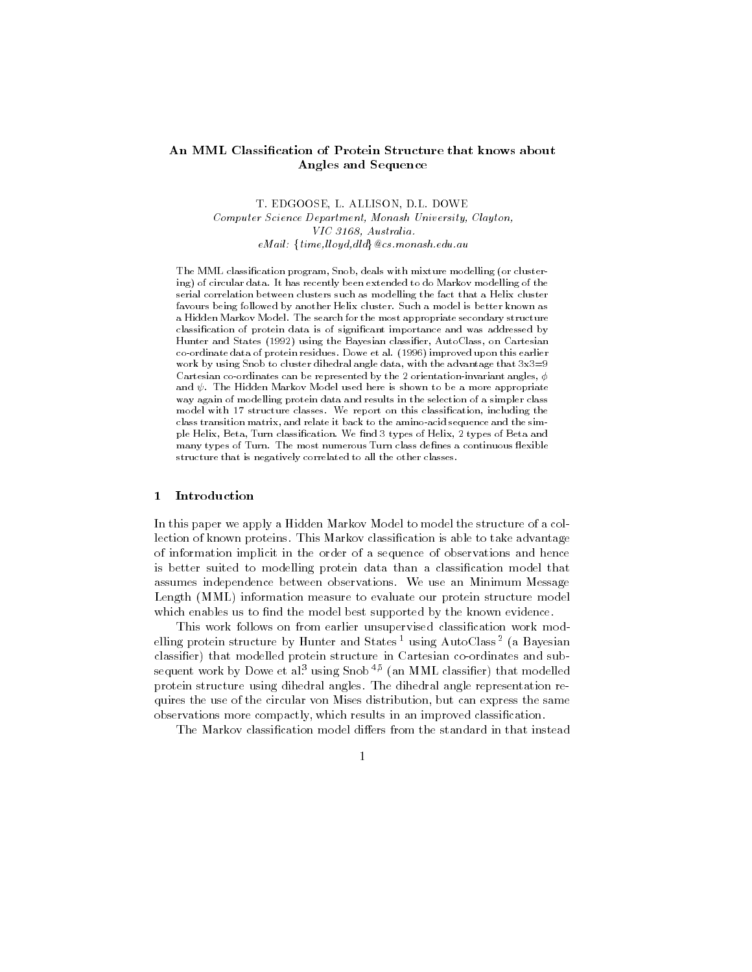# An MML Classication of Protein Structure that knows about Angles and Sequence

T. EDGOOSE, L. ALLISON, D.L. DOWE Computer Science Department, Monash University, Clayton, VIC 3168, Australia.  $eMail: \{time, lloyd, dld\} @cs.monash.edu.au$ 

The MML classication program, Snob, deals with mixture modelling (or clustering) of circular data. It has recently been extended to do Markov modelling of the serial correlation between clusters such as modelling the fact that a Helix cluster favours being followed by another Helix cluster. Such a model is better known as a Hidden Markov Model. The search for the most appropriate secondary structure classication of protein data is of signicant importance and was addressed by Hunter and States (1992) using the Bayesian classier, AutoClass, on Cartesian co-ordinate data of protein residues. Dowe et al. (1996) improved upon this earlier work by using Snob to cluster dihedral angle data, with the advantage that 3x3=9 Cartesian co-ordinates can be represented by the 2 orientation-invariant angles,  $\phi$ and  $\psi$ . The Hidden Markov Model used here is shown to be a more appropriate way again of modelling protein data and results in the selection of a simpler class model with 17 structure classes. We report on this classication, including the class transition matrix, and relate it back to the amino-acid sequence and the simple Helix, Beta, Turn classification. We find 3 types of Helix, 2 types of Beta and many types of Turn. The most numerous Turn class defines a continuous flexible structure that is negatively correlated to all the other classes.

#### $\mathbf{1}$ Introduction

In this paper we apply a Hidden Markov Model to model the structure of a collection of known proteins. This Markov classification is able to take advantage of information implicit in the order of a sequence of observations and hence is better suited to modelling protein data than a classification model that assumes independence between observations. We use an Minimum Message Length (MML) information measure to evaluate our protein structure model which enables us to find the model best supported by the known evidence.

This work follows on from earlier unsupervised classication work modening protein structure by Hunter and States <sup>-</sup> using AutoClass <sup>-</sup> (a Dayesian classier) that modelled protein structure in Cartesian co-ordinates and subsequent work by Dowe et al. using Snob  $\cdot$  (an MML classifier) that modelled protein structure using dihedral angles. The dihedral angle representation requires the use of the circular von Mises distribution, but can express the same observations more compactly, which results in an improved classification.

The Markov classification model differs from the standard in that instead

 $\mathbf{1}$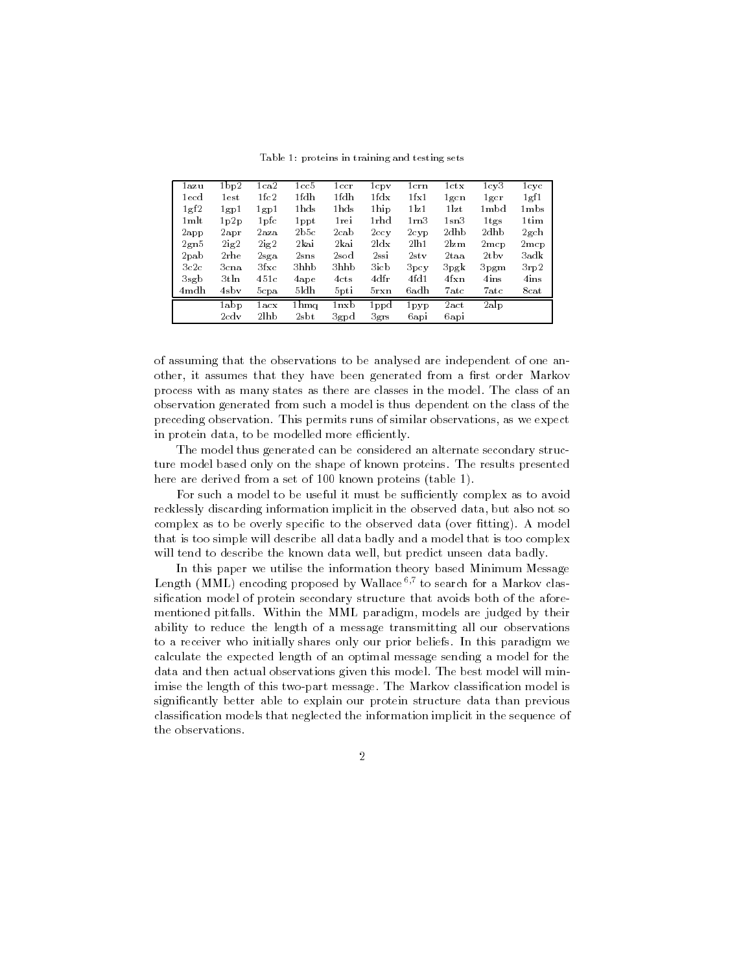Table 1: proteins in training and testing sets

| 1 azu            | 1bp2              | $1\mathrm{ca}2$   | 1cc5              | 1 <sub>ccr</sub>  | $1$ cp $v$       | 1cm             | $1$ ctx             | 1cy3             | 1 cyc           |
|------------------|-------------------|-------------------|-------------------|-------------------|------------------|-----------------|---------------------|------------------|-----------------|
| $1$ ecd          | 1est              | 1fc2              | 1fdh              | 1fdh              | 1fdx             | 1fx1            | 1 <sub>gen</sub>    | 1 <sub>gcr</sub> | 1gf1            |
| 1gf2             | 1gp1              | $1$ gp $1$        | 1hds              | 1 <sub>hds</sub>  | 1hip             | 11z1            | 11zt                | 1mbd             | $1 \text{mbs}$  |
| 1 <sub>mlt</sub> | 1p2p              | $1\,\mathrm{pfc}$ | $1$ ppt           | $1\,\mathrm{rei}$ | 1 <sub>rhd</sub> | $1\rm{rn}3$     | $1\,\mathrm{sn}\,3$ | $1$ tgs          | $1\mathrm{tim}$ |
| 2app             | 2 <sub>apr</sub>  | 2aza              | 2b5c              | 2cab              | 2ccv             | 2 <sub>CP</sub> | 2dhb                | 2dhb             | $2$ gch         |
| 2gm5             | 2ig2              | 2ig2              | 2kai              | 2kai              | 2ldx             | 21h1            | $2\mathrm{km}$      | $2\text{mcp}$    | $2\mathrm{mcp}$ |
| 2pab             | $2$ rhe           | $2$ sga           | $2\,\mathrm{sns}$ | $2\mathrm{sod}$   | $2$ ssi          | 2stv            | $2$ taa             | $2$ thy          | 3adk            |
| 3c2c             | 3 <sub>c</sub> na | $3$ fxc           | 3hhb              | 3hhb              | 3icb             | 3pcy            | $3$ pgk             | 3 <sub>pgm</sub> | 3rp2            |
| $3$ sgb          | 3tln              | 451c              | $4$ ape           | 4 <sub>cts</sub>  | 4dfr             | 4fd1            | 4fxn                | 4ins             | 4ins            |
| $4$ mdh          | $4$ sb v          | $5$ сра           | 51dh              | $5$ pti           | $5 \mathrm{rxn}$ | 6adh            | $7 \, \mathrm{atc}$ | $7 \text{atc}$   | 8cat            |
|                  | 1abp              | lacx              | 1 <sub>h</sub>    | lnxb              | 1 <sub>ppd</sub> | 1pyp            | 2act                | $2\text{alp}$    |                 |
|                  | 2cdv              | 21hb              | $2$ sbt           | 3gpd              | $3$ grs          | 6api            | 6api                |                  |                 |

of assuming that the observations to be analysed are independent of one another, it assumes that they have been generated from a first order Markov process with as many states as there are classes in the model. The class of an observation generated from such a model is thus dependent on the class of the preceding observation. This permits runs of similar observations, as we expect in protein data, to be modelled more efficiently.

The model thus generated can be considered an alternate secondary structure model based only on the shape of known proteins. The results presented here are derived from a set of 100 known proteins (table 1).

For such a model to be useful it must be sufficiently complex as to avoid recklessly discarding information implicit in the observed data, but also not so complex as to be overly specific to the observed data (over fitting). A model that is too simple will describe all data badly and a model that is too complex will tend to describe the known data well, but predict unseen data badly.

In this paper we utilise the information theory based Minimum Message Length (MML) encoding proposed by Wallace 6;7 to search for a Markov classification model of protein secondary structure that avoids both of the aforementioned pitfalls. Within the MML paradigm, models are judged by their ability to reduce the length of a message transmitting all our observations to a receiver who initially shares only our prior beliefs. In this paradigm we calculate the expected length of an optimal message sending a model for the data and then actual observations given this model. The best model will minimise the length of this two-part message. The Markov classification model is signicantly better able to explain our protein structure data than previous classication models that neglected the information implicit in the sequence of the observations.

 $\overline{2}$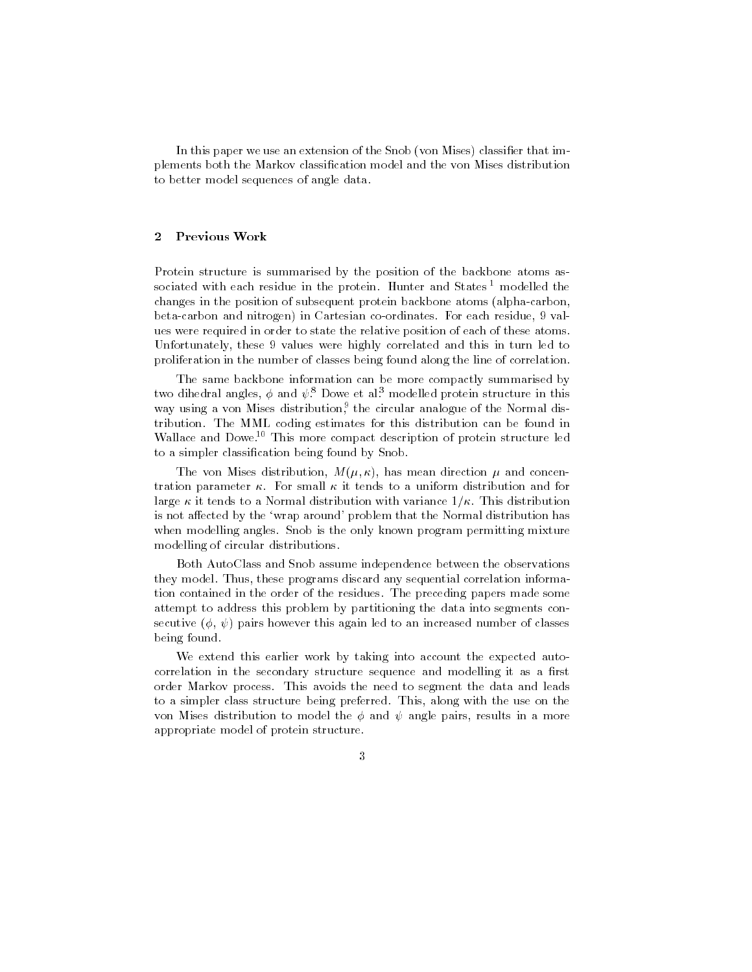In this paper we use an extension of the Snob (von Mises) classifier that implements both the Markov classication model and the von Mises distribution to better model sequences of angle data.

# 2 Previous Work

Protein structure is summarised by the position of the backbone atoms associated with each residue in the protein. Hunter and States<sup>1</sup> modelled the changes in the position of subsequent protein backbone atoms (alpha-carbon, beta-carbon and nitrogen) in Cartesian co-ordinates. For each residue, 9 values were required in order to state the relative position of each of these atoms. Unfortunately, these 9 values were highly correlated and this in turn led to proliferation in the number of classes being found along the line of correlation.

The same backbone information can be more compactly summarised by two dihedral angles,  $\phi$  and  $\psi$ .<sup>8</sup> Dowe et al.<sup>3</sup> modelled protein structure in this way using a von Mises distribution," the circular analogue of the Normal distribution. The MML coding estimates for this distribution can be found in Wallace and Dowe<sup>10</sup> This more compact description of protein structure led to a simpler classication being found by Snob.

The von Mises distribution,  $M(\mu, \kappa)$ , has mean direction  $\mu$  and concentration parameter  $\kappa$ . For small  $\kappa$  it tends to a uniform distribution and for large  $\kappa$  it tends to a Normal distribution with variance  $1/\kappa$ . This distribution is not affected by the 'wrap around' problem that the Normal distribution has when modelling angles. Snob is the only known program permitting mixture modelling of circular distributions.

Both AutoClass and Snob assume independence between the observations they model. Thus, these programs discard any sequential correlation information contained in the order of the residues. The preceding papers made some attempt to address this problem by partitioning the data into segments consecutive  $(\phi, \psi)$  pairs however this again led to an increased number of classes being found.

We extend this earlier work by taking into account the expected autocorrelation in the secondary structure sequence and modelling it as a first order Markov process. This avoids the need to segment the data and leads to a simpler class structure being preferred. This, along with the use on the von Mises distribution to model the  $\phi$  and  $\psi$  angle pairs, results in a more appropriate model of protein structure.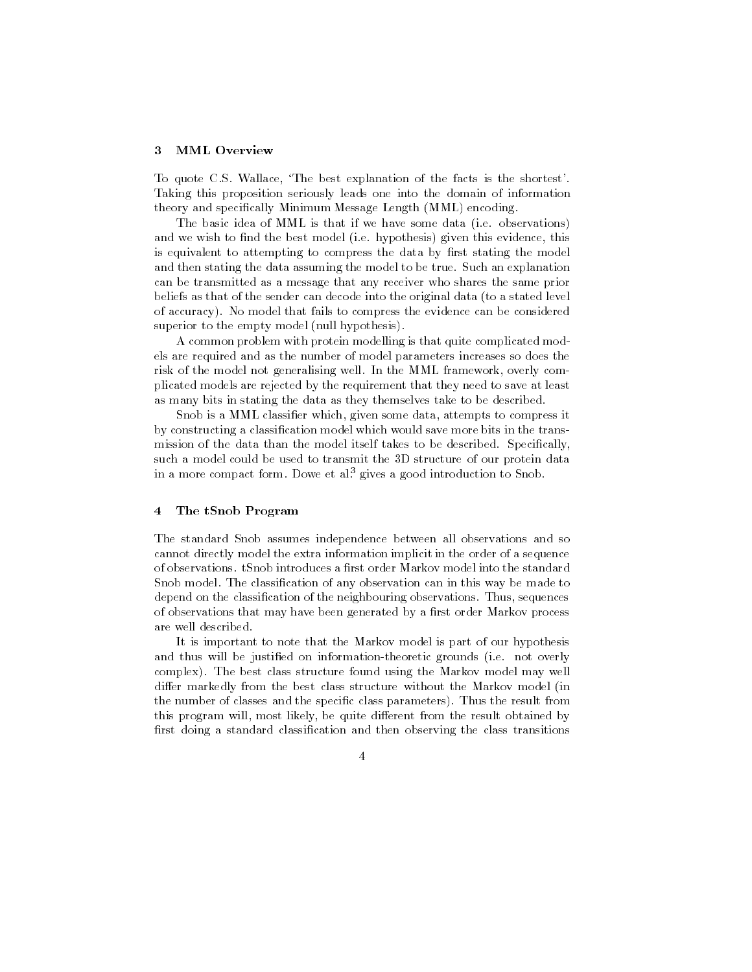### 3 MML Overview

To quote C.S. Wallace, `The best explanation of the facts is the shortest'. Taking this proposition seriously leads one into the domain of information theory and specically Minimum Message Length (MML) encoding.

The basic idea of MML is that if we have some data (i.e. observations) and we wish to find the best model (i.e. hypothesis) given this evidence, this is equivalent to attempting to compress the data by first stating the model and then stating the data assuming the model to be true. Such an explanation can be transmitted as a message that any receiver who shares the same prior beliefs as that of the sender can decode into the original data (to a stated level of accuracy). No model that fails to compress the evidence can be considered superior to the empty model (null hypothesis).

A common problem with protein modelling is that quite complicated models are required and as the number of model parameters increases so does the risk of the model not generalising well. In the MML framework, overly complicated models are rejected by the requirement that they need to save at least as many bits in stating the data as they themselves take to be described.

Snob is a MML classifier which, given some data, attempts to compress it by constructing a classification model which would save more bits in the transmission of the data than the model itself takes to be described. Specifically, such a model could be used to transmit the 3D structure of our protein data in a more compact form. Dowe et al.<sup>3</sup> gives a good introduction to Snob.

### 4 The tSnob Program

The standard Snob assumes independence between all observations and so cannot directly model the extra information implicit in the order of a sequence of observations. tSnob introduces a first order Markov model into the standard Snob model. The classification of any observation can in this way be made to depend on the classication of the neighbouring observations. Thus, sequences of observations that may have been generated by a first order Markov process are well described.

It is important to note that the Markov model is part of our hypothesis and thus will be justied on information-theoretic grounds (i.e. not overly complex). The best class structure found using the Markov model may well differ markedly from the best class structure without the Markov model (in the number of classes and the specific class parameters). Thus the result from this program will, most likely, be quite different from the result obtained by first doing a standard classification and then observing the class transitions

 $\overline{4}$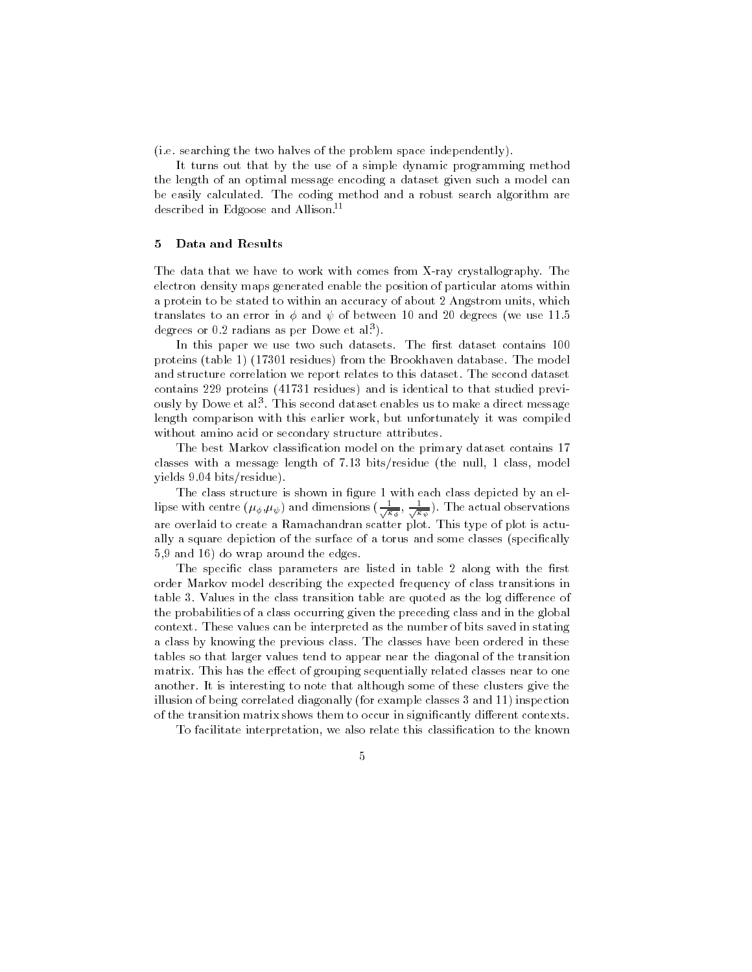(i.e. searching the two halves of the problem space independently).

It turns out that by the use of a simple dynamic programming method the length of an optimal message encoding a dataset given such a model can be easily calculated. The coding method and a robust search algorithm are described in Edgoose and Allison.<sup>11</sup>

## 5 Data and Results

The data that we have to work with comes from X-ray crystallography. The electron density maps generated enable the position of particular atoms within a protein to be stated to within an accuracy of about 2 Angstrom units, which translates to an error in  $\phi$  and  $\psi$  of between 10 and 20 degrees (we use 11.5 degrees or 0.2 radians as per Dowe et al. J. . .

In this paper we use two such datasets. The first dataset contains 100 proteins (table 1) (17301 residues) from the Brookhaven database. The model and structure correlation we report relates to this dataset. The second dataset contains 229 proteins (41731 residues) and is identical to that studied previously by Dowe et al.". This second dataset enables us to make a direct message to length comparison with this earlier work, but unfortunately it was compiled without amino acid or secondary structure attributes.

The best Markov classication model on the primary dataset contains 17 classes with a message length of 7.13 bits/residue (the null, 1 class, model yields 9.04 bits/residue).

lipse with centre ( $\mu_{\phi}, \mu_{\psi}$ ) and dimensions  $\left(\frac{1}{\sqrt{\kappa_{\phi}}}, \frac{1}{\sqrt{\kappa_{\psi}}}\right)$ . The actual observations are overlaid to create a Ramachandran scatter plot. This type of plot is actually a square depiction of the surface of a torus and some classes (specically 5,9 and 16) do wrap around the edges.

The specific class parameters are listed in table 2 along with the first order Markov model describing the expected frequency of class transitions in table 3. Values in the class transition table are quoted as the log difference of the probabilities of a class occurring given the preceding class and in the global context. These values can be interpreted as the number of bits saved in stating a class by knowing the previous class. The classes have been ordered in these tables so that larger values tend to appear near the diagonal of the transition matrix. This has the effect of grouping sequentially related classes near to one another. It is interesting to note that although some of these clusters give the illusion of being correlated diagonally (for example classes 3 and 11) inspection of the transition matrix shows them to occur in significantly different contexts.

To facilitate interpretation, we also relate this classication to the known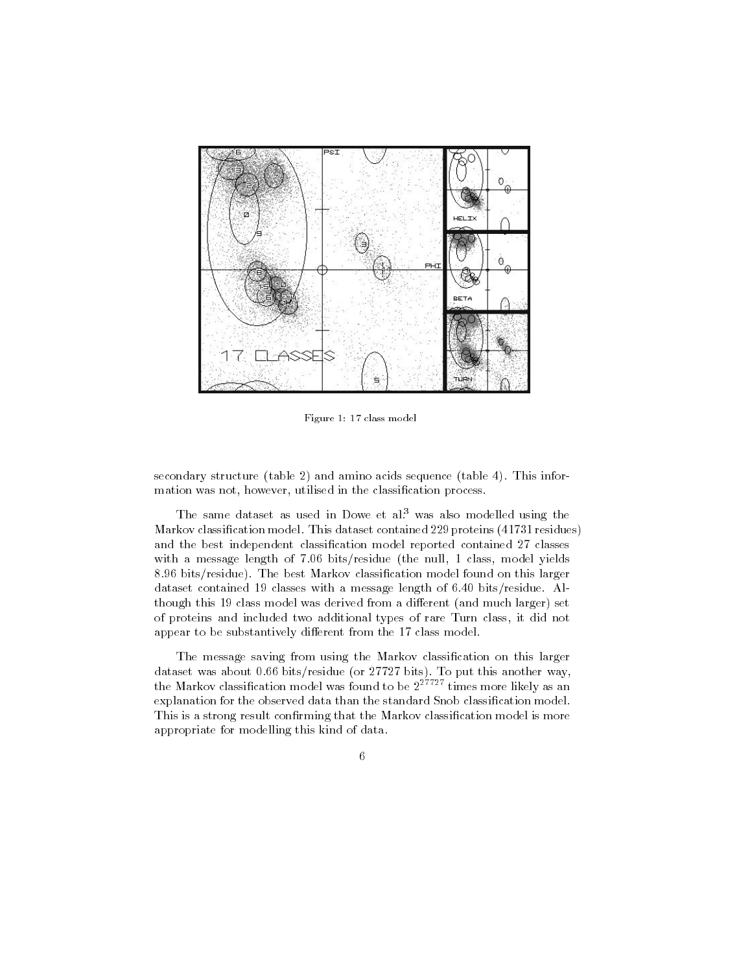

Figure 1: 17 class model

secondary structure (table 2) and amino acids sequence (table 4). This information was not, however, utilised in the classification process.

The same dataset as used in Dowe et al.<sup>3</sup> was also modelled using the Markov classication model. This dataset contained 229 proteins (41731 residues) and the best independent classication model reported contained 27 classes with a message length of 7.06 bits/residue (the null, 1 class, model yields 8.96 bits/residue). The best Markov classication model found on this larger dataset contained 19 classes with a message length of 6.40 bits/residue. Although this 19 class model was derived from a different (and much larger) set of proteins and included two additional types of rare Turn class, it did not appear to be substantively different from the 17 class model.

The message saving from using the Markov classication on this larger dataset was about 0.66 bits/residue (or 27727 bits). To put this another way, the Markov classification model was found to be  $2^{27727}$  times more likely as an explanation for the observed data than the standard Snob classication model. This is a strong result confirming that the Markov classification model is more appropriate for modelling this kind of data.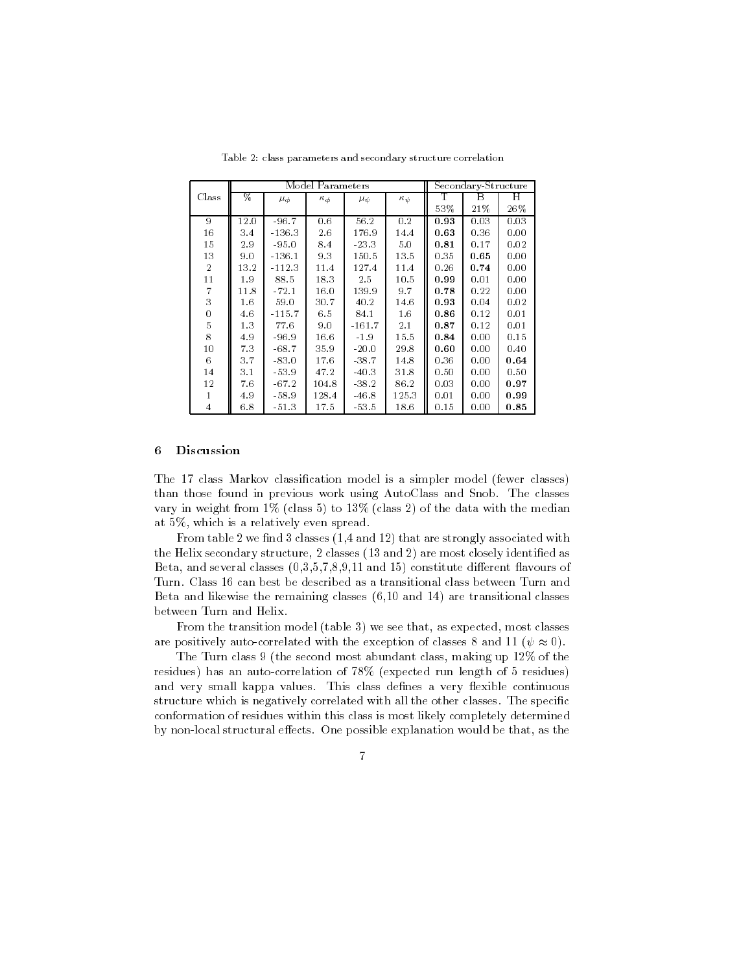|                |         |              | Model Parameters | Secondary-Structure |               |      |      |      |
|----------------|---------|--------------|------------------|---------------------|---------------|------|------|------|
| Class          | %       | $\mu_{\phi}$ | $\kappa_{\phi}$  | $\mu_{\psi}$        | $\kappa_\psi$ | т    | B    | Н    |
|                |         |              |                  |                     |               | 53%  | 21%  | 26%  |
| 9              | 12.0    | $-96.7$      | 0.6              | 56.2                | 0.2           | 0.93 | 0.03 | 0.03 |
| 16             | 3.4     | $-136.3$     | 2.6              | 176.9               | 14.4          | 0.63 | 0.36 | 0.00 |
| 15             | 2.9     | $-95.0$      | 8.4              | $-23.3$             | 5.0           | 0.81 | 0.17 | 0.02 |
| 13             | 9.0     | -136.1       | 9.3              | 150.5               | 13.5          | 0.35 | 0.65 | 0.00 |
| 2              | 13.2    | $-112.3$     | 11.4             | 127.4               | 11.4          | 0.26 | 0.74 | 0.00 |
| 11             | 1.9     | 88.5         | 18.3             | 2.5                 | 10.5          | 0.99 | 0.01 | 0.00 |
| 7              | 11.8    | $-72.1$      | 16.0             | 139.9               | 9.7           | 0.78 | 0.22 | 0.00 |
| 3              | $1.6\,$ | 59.0         | 30.7             | 40.2                | 14.6          | 0.93 | 0.04 | 0.02 |
| 0              | 4.6     | $-115.7$     | 6.5              | 84.1                | 1.6           | 0.86 | 0.12 | 0.01 |
| $\bf 5$        | 1.3     | 77.6         | 9.0              | $-161.7$            | 2.1           | 0.87 | 0.12 | 0.01 |
| 8              | 4.9     | -96.9        | 16.6             | $-1.9$              | 15.5          | 0.84 | 0.00 | 0.15 |
| 10             | 7.3     | $-68.7$      | 35.9             | $-20.0$             | 29.8          | 0.60 | 0.00 | 0.40 |
| 6              | 3.7     | $-83.0$      | 17.6             | $-38.7$             | 14.8          | 0.36 | 0.00 | 0.64 |
| 14             | 3.1     | -53.9        | 47.2             | $-40.3$             | 31.8          | 0.50 | 0.00 | 0.50 |
| 12             | 7.6     | $-67.2$      | 104.8            | $-38.2$             | 86.2          | 0.03 | 0.00 | 0.97 |
| $\bf{1}$       | 4.9     | $-58.9$      | 128.4            | $-46.8$             | 125.3         | 0.01 | 0.00 | 0.99 |
| $\overline{4}$ | 6.8     | $-51.3$      | 17.5             | $-53.5$             | 18.6          | 0.15 | 0.00 | 0.85 |

Table 2: class parameters and secondary structure correlation

#### $6\phantom{.}$ **Discussion**

The 17 class Markov classication model is a simpler model (fewer classes) than those found in previous work using AutoClass and Snob. The classes vary in weight from 1% (class 5) to 13% (class 2) of the data with the median at 5%, which is a relatively even spread.

From table 2 we find 3 classes  $(1,4 \text{ and } 12)$  that are strongly associated with the Helix secondary structure, 2 classes (13 and 2) are most closely identified as Beta, and several classes  $(0,3,5,7,8,9,11$  and 15) constitute different flavours of Turn. Class 16 can best be described as a transitional class between Turn and Beta and likewise the remaining classes (6,10 and 14) are transitional classes between Turn and Helix.

From the transition model (table 3) we see that, as expected, most classes are positively auto-correlated with the exception of classes 8 and 11 ( $\psi \approx 0$ ).

The Turn class 9 (the second most abundant class, making up 12% of the residues) has an auto-correlation of 78% (expected run length of 5 residues) and very small kappa values. This class defines a very flexible continuous structure which is negatively correlated with all the other classes. The specific conformation of residues within this class is most likely completely determined by non-local structural effects. One possible explanation would be that, as the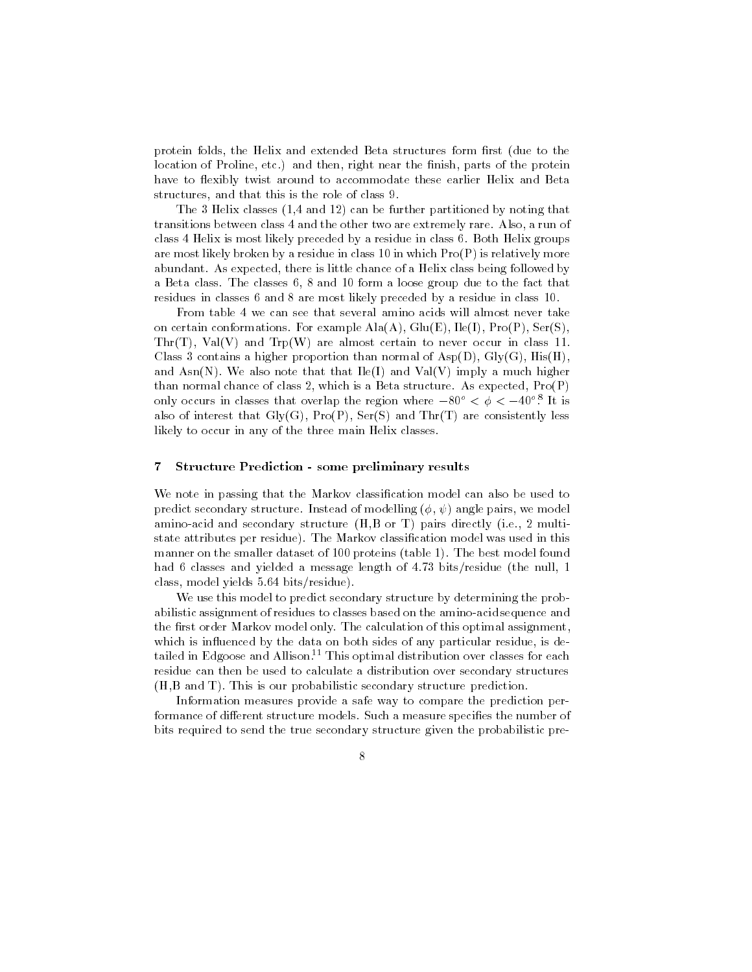protein folds, the Helix and extended Beta structures form first (due to the location of Proline, etc.) and then, right near the finish, parts of the protein have to flexibly twist around to accommodate these earlier Helix and Beta structures, and that this is the role of class 9.

The 3 Helix classes (1,4 and 12) can be further partitioned by noting that transitions between class 4 and the other two are extremely rare. Also, a run of class 4 Helix is most likely preceded by a residue in class 6. Both Helix groups are most likely broken by a residue in class 10 in which Pro(P) is relatively more abundant. As expected, there is little chance of a Helix class being followed by a Beta class. The classes 6, 8 and 10 form a loose group due to the fact that residues in classes 6 and 8 are most likely preceded by a residue in class 10.

From table 4 we can see that several amino acids will almost never take on certain conformations. For example  $text(A), Glu(E), Ile(I), Pro(P), Ser(S),$ Thr(T), Val(V) and Trp(W) are almost certain to never occur in class 11. Class 3 contains a higher proportion than normal of  $Asp(D)$ ,  $Gly(G)$ ,  $His(H)$ , and Asn $(N)$ . We also note that that Ile(I) and Val $(V)$  imply a much higher than normal chance of class 2, which is a Beta structure. As expected,  $Pro(P)$ only occurs in classes that overlap the region where  $-\infty$   $<$   $\varphi$   $<$   $-\infty$   $$ also of interest that  $\text{Gly}(G)$ ,  $\text{Pro}(P)$ ,  $\text{Ser}(S)$  and  $\text{Thr}(T)$  are consistently less likely to occur in any of the three main Helix classes.

## 7 Structure Prediction - some preliminary results

We note in passing that the Markov classification model can also be used to predict secondary structure. Instead of modelling  $(\phi, \psi)$  angle pairs, we model amino-acid and secondary structure (H,B or T) pairs directly (i.e., 2 multistate attributes per residue). The Markov classication model was used in this manner on the smaller dataset of 100 proteins (table 1). The best model found had 6 classes and yielded a message length of 4.73 bits/residue (the null, 1 class, model yields 5.64 bits/residue).

We use this model to predict secondary structure by determining the probabilistic assignment of residues to classes based on the amino-acid sequence and the first order Markov model only. The calculation of this optimal assignment, which is influenced by the data on both sides of any particular residue, is detailed in Edgoose and Allison<sup>11</sup> This optimal distribution over classes for each residue can then be used to calculate a distribution over secondary structures (H,B and T). This is our probabilistic secondary structure prediction.

Information measures provide a safe way to compare the prediction performance of different structure models. Such a measure specifies the number of bits required to send the true secondary structure given the probabilistic pre-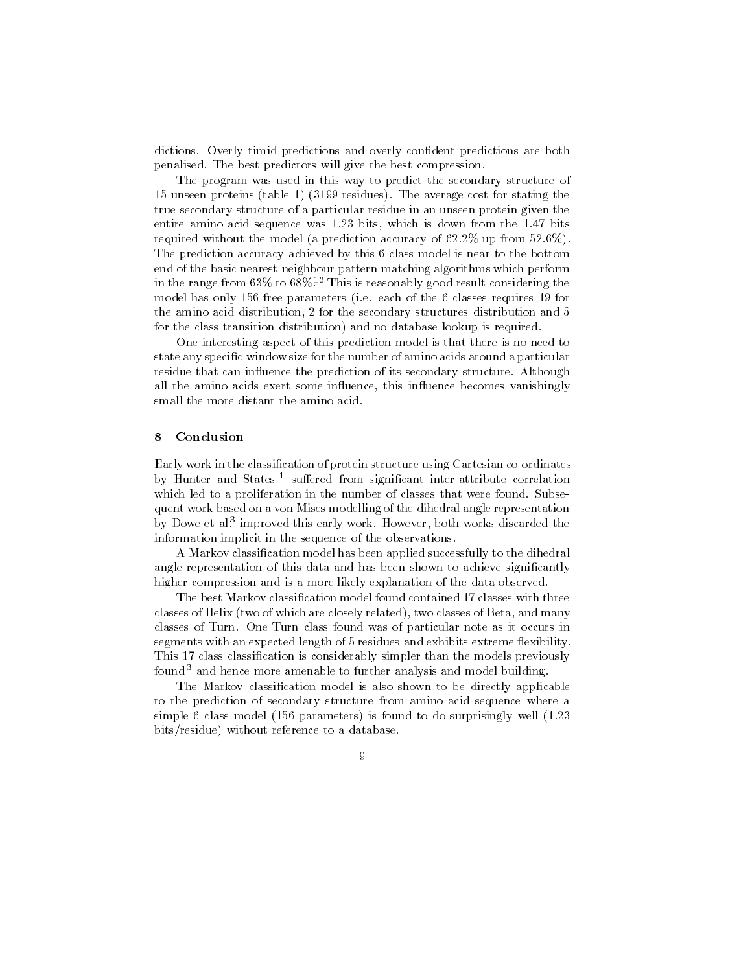dictions. Overly timid predictions and overly condent predictions are both penalised. The best predictors will give the best compression.

The program was used in this way to predict the secondary structure of 15 unseen proteins (table 1) (3199 residues). The average cost for stating the true secondary structure of a particular residue in an unseen protein given the entire amino acid sequence was 1.23 bits, which is down from the 1.47 bits required without the model (a prediction accuracy of 62.2% up from 52.6%). The prediction accuracy achieved by this 6 class model is near to the bottom end of the basic nearest neighbour pattern matching algorithms which perform in the range from  $63\%$  to  $68\%$ .<sup>12</sup> This is reasonably good result considering the model has only 156 free parameters (i.e. each of the 6 classes requires 19 for the amino acid distribution, 2 for the secondary structures distribution and 5 for the class transition distribution) and no database lookup is required.

One interesting aspect of this prediction model is that there is no need to state any specic window size for the number of amino acids around a particular residue that can influence the prediction of its secondary structure. Although all the amino acids exert some influence, this influence becomes vanishingly small the more distant the amino acid.

## 8 Conclusion

Early work in the classication of protein structure using Cartesian co-ordinates by Hunter and States – suilered from significant inter-attribute correlation which led to a proliferation in the number of classes that were found. Subsequent work based on a von Mises modelling of the dihedral angle representation by Dowe et al.<sup>3</sup> improved this early work. However, both works discarded the information implicit in the sequence of the observations.

A Markov classication model has been applied successfully to the dihedral angle representation of this data and has been shown to achieve significantly higher compression and is a more likely explanation of the data observed.

The best Markov classication model found contained 17 classes with three classes of Helix (two of which are closely related), two classes of Beta, and many classes of Turn. One Turn class found was of particular note as it occurs in segments with an expected length of 5 residues and exhibits extreme flexibility. This 17 class classification is considerably simpler than the models previously found<sup>3</sup> and hence more amenable to further analysis and model building.

The Markov classication model is also shown to be directly applicable to the prediction of secondary structure from amino acid sequence where a simple 6 class model (156 parameters) is found to do surprisingly well (1.23 bits/residue) without reference to a database.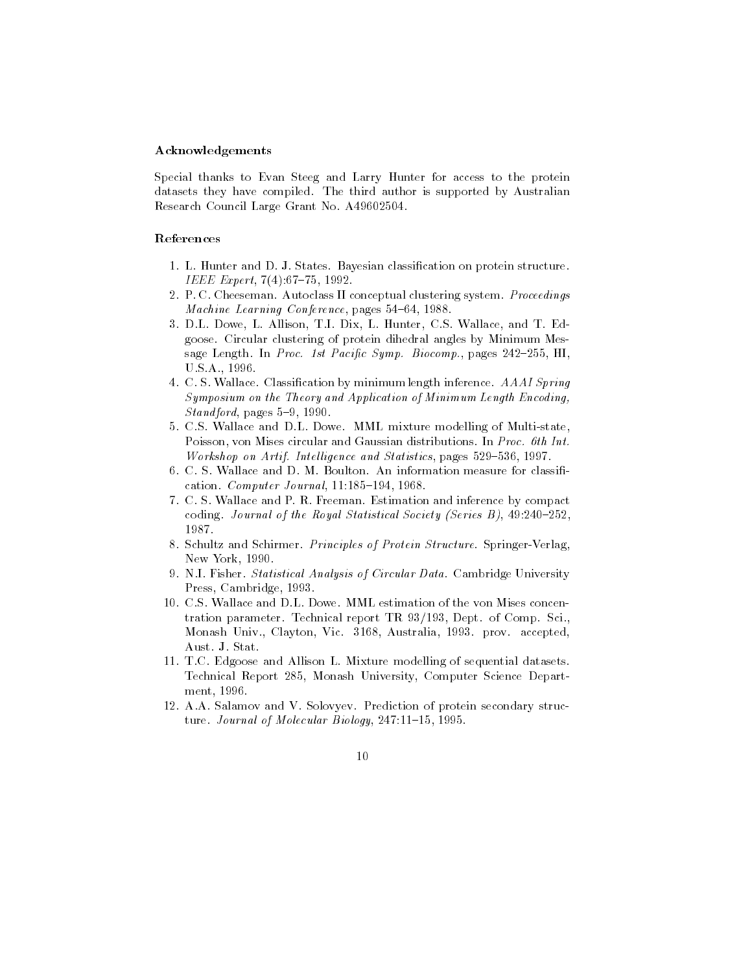# Acknowledgements

Special thanks to Evan Steeg and Larry Hunter for access to the protein datasets they have compiled. The third author is supported by Australian Research Council Large Grant No. A49602504.

### References

- 1. L. Hunter and D. J. States. Bayesian classification on protein structure. IEEE Expert,  $7(4)$ :67-75, 1992.
- 2. P. C. Cheeseman. Autoclass II conceptual clustering system. Proceedings Machine Learning Conference, pages 54-64, 1988.
- 3. D.L. Dowe, L. Allison, T.I. Dix, L. Hunter, C.S. Wallace, and T. Edgoose. Circular clustering of protein dihedral angles by Minimum Message Length. In Proc. 1st Pacific Symp. Biocomp., pages  $242-255$ , HI, U.S.A., 1996.
- 4. C. S. Wallace. Classication by minimum length inference. AAAI Spring Symposium on the Theory and Application of Minimum Length Encoding,  $Standford$ , pages  $5-9$ , 1990.
- 5. C.S. Wallace and D.L. Dowe. MML mixture modelling of Multi-state, Poisson, von Mises circular and Gaussian distributions. In Proc. 6th Int. Workshop on Artif. Intelligence and Statistics, pages  $529-536$ , 1997.
- 6. C. S. Wallace and D. M. Boulton. An information measure for classification. Computer Journal, 11:185-194, 1968.
- 7. C. S. Wallace and P. R. Freeman. Estimation and inference by compact coding. Journal of the Royal Statistical Society (Series B),  $49.240-252$ , 1987.
- 8. Schultz and Schirmer. Principles of Protein Structure. Springer-Verlag, New York, 1990.
- 9. N.I. Fisher. Statistical Analysis of Circular Data. Cambridge University Press, Cambridge, 1993.
- 10. C.S. Wallace and D.L. Dowe. MML estimation of the von Mises concentration parameter. Technical report TR 93/193, Dept. of Comp. Sci., Monash Univ., Clayton, Vic. 3168, Australia, 1993. prov. accepted, Aust. J. Stat.
- 11. T.C. Edgoose and Allison L. Mixture modelling of sequential datasets. Technical Report 285, Monash University, Computer Science Depart ment, 1996.
- 12. A.A. Salamov and V. Solovyev. Prediction of protein secondary structure. Journal of Molecular Biology, 247:11-15, 1995.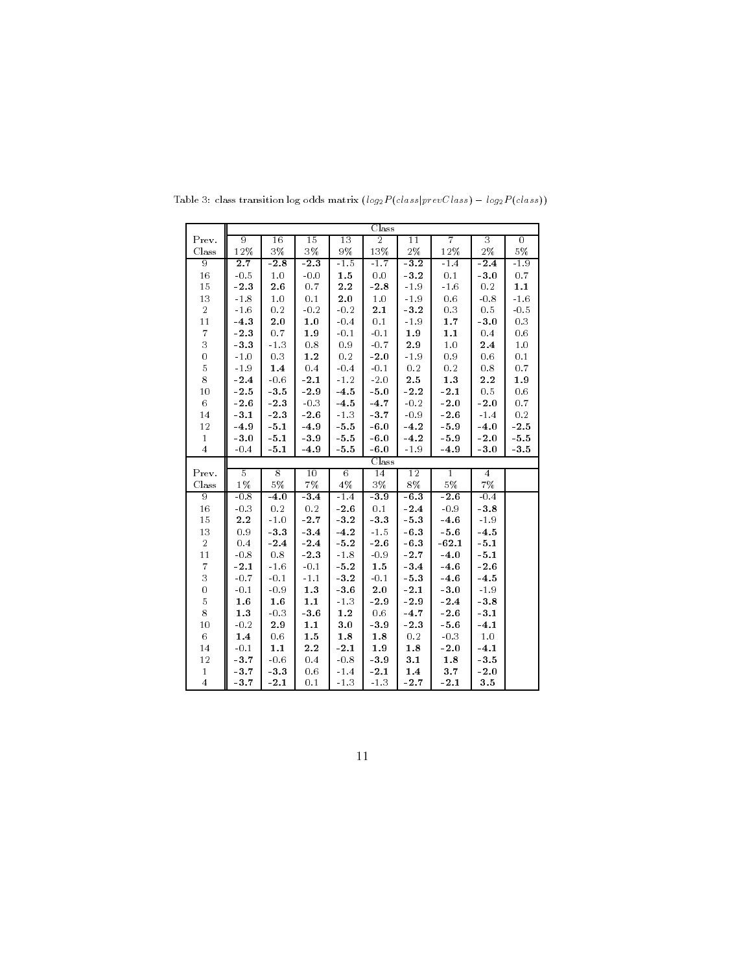| Prev.                          | Ulass            |                |           |                    |                |                 |              |         |         |  |
|--------------------------------|------------------|----------------|-----------|--------------------|----------------|-----------------|--------------|---------|---------|--|
|                                | 9                | 16             | 15        | 13                 | $\overline{2}$ | 11              | 7            | 3       | 0       |  |
| Class                          | 12%              | 3%             | $3\%$     | 9%                 | 13%            | 2%              | 12%          | 2%      | 5%      |  |
| $\overline{9}$                 | $\overline{2.7}$ | $-2.8$         | $-2.3$    | $-1.5$             | $-1.7$         | $-3.2$          | $-1.4$       | $-2.4$  | $-1.9$  |  |
| 16                             | $-0.5$           | 1.0            | $-0.0$    | 1.5                | 0.0            | $-3.2$          | 0.1          | $-3.0$  | 0.7     |  |
| 15                             | $-2.3$           | 2.6            | 0.7       | 2.2                | $-2.8$         | $-1.9$          | $-1.6$       | 0.2     | 1.1     |  |
| 13                             | $-1.8$           | 1.0            | 0.1       | $\boldsymbol{2.0}$ | 1.0            | $-1.9$          | $0.6\,$      | $-0.8$  | $-1.6$  |  |
| $\overline{2}$                 | $-1.6$           | 0.2            | $-0.2$    | $-0.2$             | 2.1            | $-3.2$          | $0.3\,$      | 0.5     | $-0.5$  |  |
| 11                             | $-4.3$           | 2.0            | 1.0       | $-0.4$             | 0.1            | $-1.9$          | 1.7          | $-3.0$  | 0.3     |  |
| $\overline{\tau}$              | $-2.3$           | 0.7            | 1.9       | $-0.1$             | $-0.1$         | 1.9             | 1.1          | 0.4     | 0.6     |  |
| 3                              | $-3.3$           | $-1.3$         | $\rm 0.8$ | 0.9                | $-0.7$         | 2.9             | $1.0\,$      | 2.4     | $1\,.0$ |  |
| $\mathbf 0$                    | $-1.0$           | 0.3            | 1.2       | 0.2                | $-2.0$         | $-1.9$          | 0.9          | 0.6     | 0.1     |  |
| 5                              | $-1.9$           | 1.4            | 0.4       | $-0.4$             | $-0.1$         | 0.2             | 0.2          | 0.8     | 0.7     |  |
| 8                              | $-2.4$           | $-0.6$         | $-2.1$    | $-1.2$             | $-2.0$         | 2.5             | 1.3          | 2.2     | 1.9     |  |
| 10                             | $-2.5$           | $-3.5$         | $-2.9$    | $-4.5$             | $-5.0$         | $-2.2$          | $-2.1$       | 0.5     | 0.6     |  |
| 6                              | $-2.6$           | $-2.3$         | $-0.3$    | $-4.5$             | $-4.7$         | $-0.2$          | $-2.0$       | $-2.0$  | 0.7     |  |
| 14                             | $-3.1$           | $-2.3$         | $-2.6$    | $-1.3$             | $-3.7$         | $-0.9$          | $-2.6$       | $-1.4$  | 0.2     |  |
| 12                             | $-4.9$           | $-5.1$         | $-4.9$    | $-5.5$             | $-6.0$         | $-4.2$          | $-5.9$       | $-4.0$  | $-2.5$  |  |
| $\mathbf{1}$                   | $-3.0$           | $-5.1$         | $-3.9$    | $-5.5$             | $-6.0$         | $-4.2$          | $-5.9$       | $-2.0$  | $-5.5$  |  |
| $\overline{4}$                 | $-0.4$           | $-5.1$         | $-4.9$    | $-5.5$             | $-6.0$         | $-1.9$          | $-4.9$       | $-3.0$  | $-3.5$  |  |
|                                |                  |                |           |                    | Class          |                 |              |         |         |  |
| Prev.                          | 5                | $\overline{8}$ | 10        | 6                  | 14             | $\overline{12}$ | $\mathbf{1}$ | 4       |         |  |
| Class                          | $1\,\%$          | 5%             | $7\,\%$   | $4\%$              | $3\%$          | $8\%$           | $5\,\%$      | $7\,\%$ |         |  |
| 9                              | $-0.8$           | $-4.0$         | $-3.4$    | $-1.4$             | $-3.9$         | $-6.3$          | $-2.6$       | $-0.4$  |         |  |
| 16                             | $-0.3$           |                |           |                    |                |                 |              |         |         |  |
|                                |                  | 0.2            | 0.2       | $-2.6$             | 0.1            | $-2.4$          | $-0.9$       | $-3.8$  |         |  |
| 15                             | 2.2              | $-1.0$         | $-2.7$    | $-3.2$             | $-3.3$         | $-5.3$          | $-4.6$       | $-1.9$  |         |  |
| 13                             | 0.9              | $-3.3$         | $-3.4$    | $-4.2$             | $-1.5$         | $-6.3$          | $-5.6$       | $-4.5$  |         |  |
| $\overline{2}$                 | 0.4              | $-2.4$         | $-2.4$    | $-5.2$             | $-2.6$         | $-6.3$          | $-62.1$      | $-5.1$  |         |  |
| 11                             | $-0.8$           | 0.8            | $-2.3$    | $-1.8$             | $-0.9$         | $-2.7$          | $-4.0$       | $-5.1$  |         |  |
| $\overline{\tau}$              | $-2.1$           | $-1.6$         | $-0.1$    | $-5.2$             | 1.5            | $-3.4$          | $-4.6$       | $-2.6$  |         |  |
| 3                              | $-0.7$           | $-0.1$         | $-1.1$    | $-3.2$             | $-0.1$         | $-5.3$          | $-4.6$       | $-4.5$  |         |  |
| $\overline{0}$                 | $-0.1$           | $-0.9$         | 1.3       | $-3.6$             | $2\,.0$        | $-2.1$          | 3.0          | $-1.9$  |         |  |
| $\overline{5}$                 | 1.6              | 1.6            | 1.1       | $-1.3$             | $-2.9$         | $-2.9$          | $-2.4$       | $-3.8$  |         |  |
| 8                              | 1.3              | $-0.3$         | $-3.6$    | 1.2                | 0.6            | $-4.7$          | $-2.6$       | $-3.1$  |         |  |
| 10                             | $-0.2$           | 2.9            | 1.1       | 3.0                | $-3.9$         | $-2.3$          | $-5.6$       | $-4.1$  |         |  |
| 6                              | 1.4              | 0.6            | 1.5       | 1.8                | 1.8            | 0.2             | $-0.3$       | 1.0     |         |  |
| 14                             | $-0.1$           | 1.1            | 2.2       | $-2.1$             | 1.9            | $1.8\,$         | $-2.0$       | $-4.1$  |         |  |
| 12                             | $-3.7$           | $-0.6$         | 0.4       | $-0.8$             | $-3.9$         | 3.1             | 1.8          | $-3.5$  |         |  |
| $\mathbf{1}$<br>$\overline{4}$ | $-3.7$           | $-3.3$         | 0.6       | $-1.4$             | $-2.1$         | 1.4             | $3.7\,$      | $-2.0$  |         |  |

Table 3: class transition log odds matrix  $(log_2 P (class|prev Class) - log_2 P (class))$